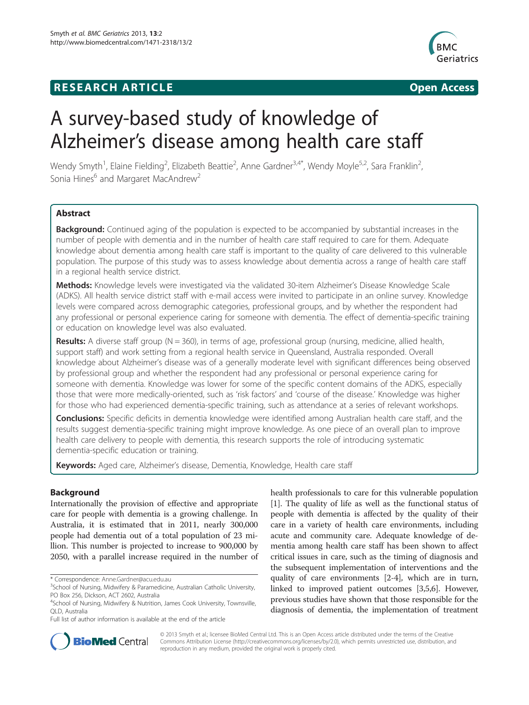# **RESEARCH ARTICLE Example 2014 12:30 The SEAR CH ACCESS**



# A survey-based study of knowledge of Alzheimer's disease among health care staff

Wendy Smyth<sup>1</sup>, Elaine Fielding<sup>2</sup>, Elizabeth Beattie<sup>2</sup>, Anne Gardner<sup>3,4\*</sup>, Wendy Moyle<sup>5,2</sup>, Sara Franklin<sup>2</sup> , Sonia Hines<sup>6</sup> and Margaret MacAndrew<sup>2</sup>

# **Abstract**

Background: Continued aging of the population is expected to be accompanied by substantial increases in the number of people with dementia and in the number of health care staff required to care for them. Adequate knowledge about dementia among health care staff is important to the quality of care delivered to this vulnerable population. The purpose of this study was to assess knowledge about dementia across a range of health care staff in a regional health service district.

Methods: Knowledge levels were investigated via the validated 30-item Alzheimer's Disease Knowledge Scale (ADKS). All health service district staff with e-mail access were invited to participate in an online survey. Knowledge levels were compared across demographic categories, professional groups, and by whether the respondent had any professional or personal experience caring for someone with dementia. The effect of dementia-specific training or education on knowledge level was also evaluated.

Results: A diverse staff group (N = 360), in terms of age, professional group (nursing, medicine, allied health, support staff) and work setting from a regional health service in Queensland, Australia responded. Overall knowledge about Alzheimer's disease was of a generally moderate level with significant differences being observed by professional group and whether the respondent had any professional or personal experience caring for someone with dementia. Knowledge was lower for some of the specific content domains of the ADKS, especially those that were more medically-oriented, such as 'risk factors' and 'course of the disease.' Knowledge was higher for those who had experienced dementia-specific training, such as attendance at a series of relevant workshops.

Conclusions: Specific deficits in dementia knowledge were identified among Australian health care staff, and the results suggest dementia-specific training might improve knowledge. As one piece of an overall plan to improve health care delivery to people with dementia, this research supports the role of introducing systematic dementia-specific education or training.

Keywords: Aged care, Alzheimer's disease, Dementia, Knowledge, Health care staff

# Background

Internationally the provision of effective and appropriate care for people with dementia is a growing challenge. In Australia, it is estimated that in 2011, nearly 300,000 people had dementia out of a total population of 23 million. This number is projected to increase to 900,000 by 2050, with a parallel increase required in the number of health professionals to care for this vulnerable population [[1\]](#page-7-0). The quality of life as well as the functional status of people with dementia is affected by the quality of their care in a variety of health care environments, including acute and community care. Adequate knowledge of dementia among health care staff has been shown to affect critical issues in care, such as the timing of diagnosis and the subsequent implementation of interventions and the quality of care environments [[2-4\]](#page-7-0), which are in turn, linked to improved patient outcomes [\[3,5,6\]](#page-7-0). However, previous studies have shown that those responsible for the diagnosis of dementia, the implementation of treatment



© 2013 Smyth et al.; licensee BioMed Central Ltd. This is an Open Access article distributed under the terms of the Creative Commons Attribution License [\(http://creativecommons.org/licenses/by/2.0\)](http://creativecommons.org/licenses/by/2.0), which permits unrestricted use, distribution, and reproduction in any medium, provided the original work is properly cited.

<sup>\*</sup> Correspondence: [Anne.Gardner@acu.edu.au](mailto:Anne.Gardner@acu.edu.au) <sup>3</sup>

<sup>&</sup>lt;sup>3</sup>School of Nursing, Midwifery & Paramedicine, Australian Catholic University, PO Box 256, Dickson, ACT 2602, Australia

<sup>4</sup> School of Nursing, Midwifery & Nutrition, James Cook University, Townsville, QLD, Australia

Full list of author information is available at the end of the article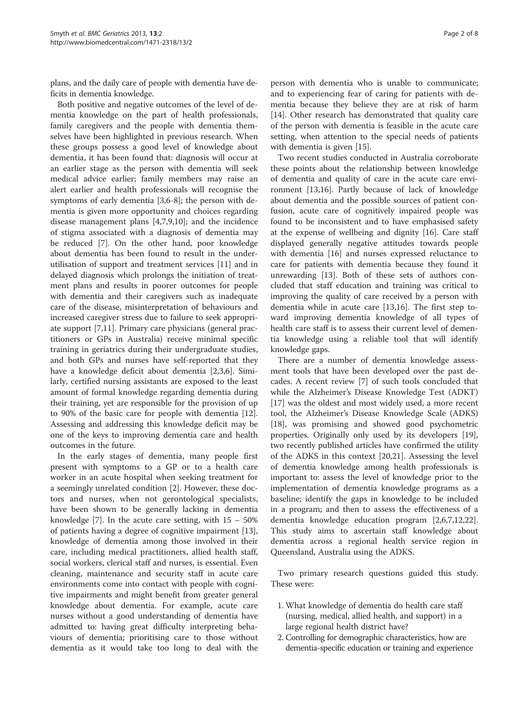plans, and the daily care of people with dementia have deficits in dementia knowledge.

Both positive and negative outcomes of the level of dementia knowledge on the part of health professionals, family caregivers and the people with dementia themselves have been highlighted in previous research. When these groups possess a good level of knowledge about dementia, it has been found that: diagnosis will occur at an earlier stage as the person with dementia will seek medical advice earlier; family members may raise an alert earlier and health professionals will recognise the symptoms of early dementia [[3,6-8](#page-7-0)]; the person with dementia is given more opportunity and choices regarding disease management plans [\[4,7,9,10](#page-7-0)]; and the incidence of stigma associated with a diagnosis of dementia may be reduced [\[7](#page-7-0)]. On the other hand, poor knowledge about dementia has been found to result in the underutilisation of support and treatment services [[11](#page-7-0)] and in delayed diagnosis which prolongs the initiation of treatment plans and results in poorer outcomes for people with dementia and their caregivers such as inadequate care of the disease, misinterpretation of behaviours and increased caregiver stress due to failure to seek appropriate support [\[7,11\]](#page-7-0). Primary care physicians (general practitioners or GPs in Australia) receive minimal specific training in geriatrics during their undergraduate studies, and both GPs and nurses have self-reported that they have a knowledge deficit about dementia [[2,3,6\]](#page-7-0). Similarly, certified nursing assistants are exposed to the least amount of formal knowledge regarding dementia during their training, yet are responsible for the provision of up to 90% of the basic care for people with dementia [\[12](#page-7-0)]. Assessing and addressing this knowledge deficit may be one of the keys to improving dementia care and health outcomes in the future.

In the early stages of dementia, many people first present with symptoms to a GP or to a health care worker in an acute hospital when seeking treatment for a seemingly unrelated condition [\[2\]](#page-7-0). However, these doctors and nurses, when not gerontological specialists, have been shown to be generally lacking in dementia knowledge [\[7\]](#page-7-0). In the acute care setting, with  $15 - 50\%$ of patients having a degree of cognitive impairment [\[13](#page-7-0)], knowledge of dementia among those involved in their care, including medical practitioners, allied health staff, social workers, clerical staff and nurses, is essential. Even cleaning, maintenance and security staff in acute care environments come into contact with people with cognitive impairments and might benefit from greater general knowledge about dementia. For example, acute care nurses without a good understanding of dementia have admitted to: having great difficulty interpreting behaviours of dementia; prioritising care to those without dementia as it would take too long to deal with the

person with dementia who is unable to communicate; and to experiencing fear of caring for patients with dementia because they believe they are at risk of harm [[14\]](#page-7-0). Other research has demonstrated that quality care of the person with dementia is feasible in the acute care setting, when attention to the special needs of patients with dementia is given [\[15\]](#page-7-0).

Two recent studies conducted in Australia corroborate these points about the relationship between knowledge of dementia and quality of care in the acute care environment [[13](#page-7-0),[16](#page-7-0)]. Partly because of lack of knowledge about dementia and the possible sources of patient confusion, acute care of cognitively impaired people was found to be inconsistent and to have emphasised safety at the expense of wellbeing and dignity [\[16\]](#page-7-0). Care staff displayed generally negative attitudes towards people with dementia [\[16](#page-7-0)] and nurses expressed reluctance to care for patients with dementia because they found it unrewarding [[13\]](#page-7-0). Both of these sets of authors concluded that staff education and training was critical to improving the quality of care received by a person with dementia while in acute care [\[13,16](#page-7-0)]. The first step toward improving dementia knowledge of all types of health care staff is to assess their current level of dementia knowledge using a reliable tool that will identify knowledge gaps.

There are a number of dementia knowledge assessment tools that have been developed over the past decades. A recent review [[7\]](#page-7-0) of such tools concluded that while the Alzheimer's Disease Knowledge Test (ADKT) [[17\]](#page-7-0) was the oldest and most widely used, a more recent tool, the Alzheimer's Disease Knowledge Scale (ADKS) [[18\]](#page-7-0), was promising and showed good psychometric properties. Originally only used by its developers [\[19](#page-7-0)], two recently published articles have confirmed the utility of the ADKS in this context [[20,21\]](#page-7-0). Assessing the level of dementia knowledge among health professionals is important to: assess the level of knowledge prior to the implementation of dementia knowledge programs as a baseline; identify the gaps in knowledge to be included in a program; and then to assess the effectiveness of a dementia knowledge education program [\[2,6,7,12,22](#page-7-0)]. This study aims to ascertain staff knowledge about dementia across a regional health service region in Queensland, Australia using the ADKS.

Two primary research questions guided this study. These were:

- 1. What knowledge of dementia do health care staff (nursing, medical, allied health, and support) in a large regional health district have?
- 2. Controlling for demographic characteristics, how are dementia-specific education or training and experience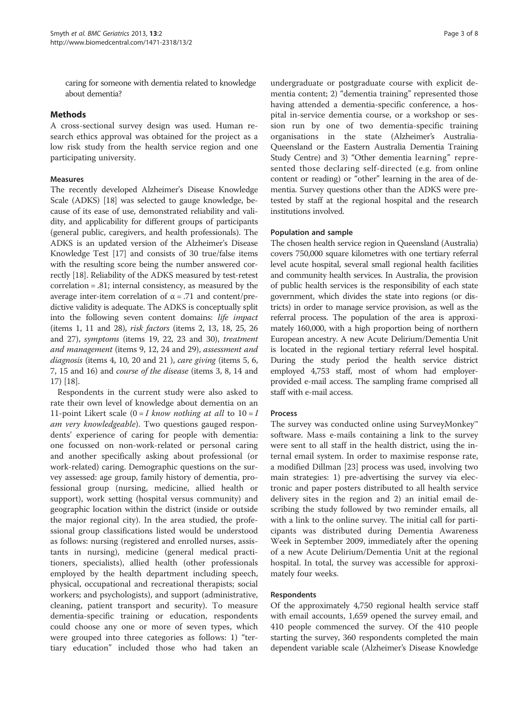caring for someone with dementia related to knowledge about dementia?

# Methods

A cross-sectional survey design was used. Human research ethics approval was obtained for the project as a low risk study from the health service region and one participating university.

# Measures

The recently developed Alzheimer's Disease Knowledge Scale (ADKS) [\[18\]](#page-7-0) was selected to gauge knowledge, because of its ease of use, demonstrated reliability and validity, and applicability for different groups of participants (general public, caregivers, and health professionals). The ADKS is an updated version of the Alzheimer's Disease Knowledge Test [[17](#page-7-0)] and consists of 30 true/false items with the resulting score being the number answered correctly [[18](#page-7-0)]. Reliability of the ADKS measured by test-retest correlation = .81; internal consistency, as measured by the average inter-item correlation of α = .71 and content/predictive validity is adequate. The ADKS is conceptually split into the following seven content domains: life impact (items 1, 11 and 28), risk factors (items 2, 13, 18, 25, 26 and 27), symptoms (items 19, 22, 23 and 30), treatment and management (items 9, 12, 24 and 29), assessment and diagnosis (items 4, 10, 20 and 21), care giving (items 5, 6, 7, 15 and 16) and course of the disease (items 3, 8, 14 and 17) [\[18\]](#page-7-0).

Respondents in the current study were also asked to rate their own level of knowledge about dementia on an 11-point Likert scale  $(0 = I \; known \; nothing \; at \; all \; to \; 10 = I$ am very knowledgeable). Two questions gauged respondents' experience of caring for people with dementia: one focussed on non-work-related or personal caring and another specifically asking about professional (or work-related) caring. Demographic questions on the survey assessed: age group, family history of dementia, professional group (nursing, medicine, allied health or support), work setting (hospital versus community) and geographic location within the district (inside or outside the major regional city). In the area studied, the professional group classifications listed would be understood as follows: nursing (registered and enrolled nurses, assistants in nursing), medicine (general medical practitioners, specialists), allied health (other professionals employed by the health department including speech, physical, occupational and recreational therapists; social workers; and psychologists), and support (administrative, cleaning, patient transport and security). To measure dementia-specific training or education, respondents could choose any one or more of seven types, which were grouped into three categories as follows: 1) "tertiary education" included those who had taken an

undergraduate or postgraduate course with explicit dementia content; 2) "dementia training" represented those having attended a dementia-specific conference, a hospital in-service dementia course, or a workshop or session run by one of two dementia-specific training organisations in the state (Alzheimer's Australia-Queensland or the Eastern Australia Dementia Training Study Centre) and 3) "Other dementia learning" represented those declaring self-directed (e.g. from online content or reading) or "other" learning in the area of dementia. Survey questions other than the ADKS were pretested by staff at the regional hospital and the research institutions involved.

### Population and sample

The chosen health service region in Queensland (Australia) covers 750,000 square kilometres with one tertiary referral level acute hospital, several small regional health facilities and community health services. In Australia, the provision of public health services is the responsibility of each state government, which divides the state into regions (or districts) in order to manage service provision, as well as the referral process. The population of the area is approximately 160,000, with a high proportion being of northern European ancestry. A new Acute Delirium/Dementia Unit is located in the regional tertiary referral level hospital. During the study period the health service district employed 4,753 staff, most of whom had employerprovided e-mail access. The sampling frame comprised all staff with e-mail access.

### Process

The survey was conducted online using SurveyMonkey™ software. Mass e-mails containing a link to the survey were sent to all staff in the health district, using the internal email system. In order to maximise response rate, a modified Dillman [[23\]](#page-7-0) process was used, involving two main strategies: 1) pre-advertising the survey via electronic and paper posters distributed to all health service delivery sites in the region and 2) an initial email describing the study followed by two reminder emails, all with a link to the online survey. The initial call for participants was distributed during Dementia Awareness Week in September 2009, immediately after the opening of a new Acute Delirium/Dementia Unit at the regional hospital. In total, the survey was accessible for approximately four weeks.

### Respondents

Of the approximately 4,750 regional health service staff with email accounts, 1,659 opened the survey email, and 410 people commenced the survey. Of the 410 people starting the survey, 360 respondents completed the main dependent variable scale (Alzheimer's Disease Knowledge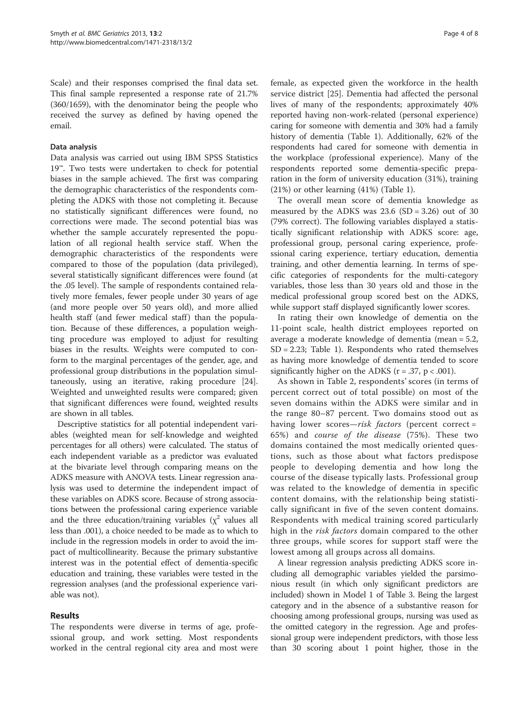Scale) and their responses comprised the final data set. This final sample represented a response rate of 21.7% (360/1659), with the denominator being the people who received the survey as defined by having opened the email.

# Data analysis

Data analysis was carried out using IBM SPSS Statistics 19™. Two tests were undertaken to check for potential biases in the sample achieved. The first was comparing the demographic characteristics of the respondents completing the ADKS with those not completing it. Because no statistically significant differences were found, no corrections were made. The second potential bias was whether the sample accurately represented the population of all regional health service staff. When the demographic characteristics of the respondents were compared to those of the population (data privileged), several statistically significant differences were found (at the .05 level). The sample of respondents contained relatively more females, fewer people under 30 years of age (and more people over 50 years old), and more allied health staff (and fewer medical staff) than the population. Because of these differences, a population weighting procedure was employed to adjust for resulting biases in the results. Weights were computed to conform to the marginal percentages of the gender, age, and professional group distributions in the population simultaneously, using an iterative, raking procedure [\[24](#page-7-0)]. Weighted and unweighted results were compared; given that significant differences were found, weighted results are shown in all tables.

Descriptive statistics for all potential independent variables (weighted mean for self-knowledge and weighted percentages for all others) were calculated. The status of each independent variable as a predictor was evaluated at the bivariate level through comparing means on the ADKS measure with ANOVA tests. Linear regression analysis was used to determine the independent impact of these variables on ADKS score. Because of strong associations between the professional caring experience variable and the three education/training variables  $(\chi^2$  values all less than .001), a choice needed to be made as to which to include in the regression models in order to avoid the impact of multicollinearity. Because the primary substantive interest was in the potential effect of dementia-specific education and training, these variables were tested in the regression analyses (and the professional experience variable was not).

# Results

The respondents were diverse in terms of age, professional group, and work setting. Most respondents worked in the central regional city area and most were

female, as expected given the workforce in the health service district [[25](#page-7-0)]. Dementia had affected the personal lives of many of the respondents; approximately 40% reported having non-work-related (personal experience) caring for someone with dementia and 30% had a family history of dementia (Table [1](#page-4-0)). Additionally, 62% of the respondents had cared for someone with dementia in the workplace (professional experience). Many of the respondents reported some dementia-specific preparation in the form of university education (31%), training (21%) or other learning (41%) (Table [1](#page-4-0)).

The overall mean score of dementia knowledge as measured by the ADKS was  $23.6$  (SD = 3.26) out of 30 (79% correct). The following variables displayed a statistically significant relationship with ADKS score: age, professional group, personal caring experience, professional caring experience, tertiary education, dementia training, and other dementia learning. In terms of specific categories of respondents for the multi-category variables, those less than 30 years old and those in the medical professional group scored best on the ADKS, while support staff displayed significantly lower scores.

In rating their own knowledge of dementia on the 11-point scale, health district employees reported on average a moderate knowledge of dementia (mean = 5.2, SD = 2.23; Table [1](#page-4-0)). Respondents who rated themselves as having more knowledge of dementia tended to score significantly higher on the ADKS ( $r = .37$ ,  $p < .001$ ).

As shown in Table [2,](#page-5-0) respondents' scores (in terms of percent correct out of total possible) on most of the seven domains within the ADKS were similar and in the range 80–87 percent. Two domains stood out as having lower scores—risk factors (percent correct = 65%) and course of the disease (75%). These two domains contained the most medically oriented questions, such as those about what factors predispose people to developing dementia and how long the course of the disease typically lasts. Professional group was related to the knowledge of dementia in specific content domains, with the relationship being statistically significant in five of the seven content domains. Respondents with medical training scored particularly high in the risk factors domain compared to the other three groups, while scores for support staff were the lowest among all groups across all domains.

A linear regression analysis predicting ADKS score including all demographic variables yielded the parsimonious result (in which only significant predictors are included) shown in Model 1 of Table [3](#page-5-0). Being the largest category and in the absence of a substantive reason for choosing among professional groups, nursing was used as the omitted category in the regression. Age and professional group were independent predictors, with those less than 30 scoring about 1 point higher, those in the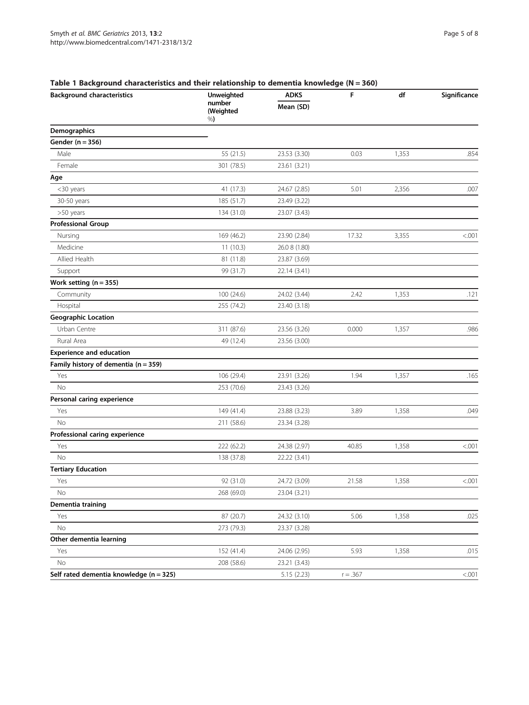| <b>Background characteristics</b>       | Unweighted                | <b>ADKS</b>   | F          | df    | Significance |  |
|-----------------------------------------|---------------------------|---------------|------------|-------|--------------|--|
|                                         | number<br>(Weighted<br>%) | Mean (SD)     |            |       |              |  |
| Demographics                            |                           |               |            |       |              |  |
| Gender $(n = 356)$                      |                           |               |            |       |              |  |
| Male                                    | 55 (21.5)                 | 23.53 (3.30)  | 0.03       | 1,353 | .854         |  |
| Female                                  | 301 (78.5)                | 23.61 (3.21)  |            |       |              |  |
| Age                                     |                           |               |            |       |              |  |
| <30 years                               | 41 (17.3)                 | 24.67 (2.85)  | 5.01       | 2,356 | .007         |  |
| 30-50 years                             | 185 (51.7)                | 23.49 (3.22)  |            |       |              |  |
| >50 years                               | 134 (31.0)                | 23.07 (3.43)  |            |       |              |  |
| <b>Professional Group</b>               |                           |               |            |       |              |  |
| Nursing                                 | 169 (46.2)                | 23.90 (2.84)  | 17.32      | 3,355 | < .001       |  |
| Medicine                                | 11(10.3)                  | 26.0 8 (1.80) |            |       |              |  |
| Allied Health                           | 81 (11.8)                 | 23.87 (3.69)  |            |       |              |  |
| Support                                 | 99 (31.7)                 | 22.14 (3.41)  |            |       |              |  |
| Work setting $(n = 355)$                |                           |               |            |       |              |  |
| Community                               | 100 (24.6)                | 24.02 (3.44)  | 2.42       | 1,353 | .121         |  |
| Hospital                                | 255 (74.2)                | 23.40 (3.18)  |            |       |              |  |
| <b>Geographic Location</b>              |                           |               |            |       |              |  |
| Urban Centre                            | 311 (87.6)                | 23.56 (3.26)  | 0.000      | 1,357 | .986         |  |
| Rural Area                              | 49 (12.4)                 | 23.56 (3.00)  |            |       |              |  |
| <b>Experience and education</b>         |                           |               |            |       |              |  |
| Family history of dementia $(n = 359)$  |                           |               |            |       |              |  |
| Yes                                     | 106 (29.4)                | 23.91 (3.26)  | 1.94       | 1,357 | .165         |  |
| No                                      | 253 (70.6)                | 23.43 (3.26)  |            |       |              |  |
| Personal caring experience              |                           |               |            |       |              |  |
| Yes                                     | 149 (41.4)                | 23.88 (3.23)  | 3.89       | 1,358 | .049         |  |
| No                                      | 211 (58.6)                | 23.34 (3.28)  |            |       |              |  |
| Professional caring experience          |                           |               |            |       |              |  |
| Yes                                     | 222 (62.2)                | 24.38 (2.97)  | 40.85      | 1,358 | < .001       |  |
| <b>No</b>                               | 138 (37.8)                | 22.22 (3.41)  |            |       |              |  |
| <b>Tertiary Education</b>               |                           |               |            |       |              |  |
| Yes                                     | 92 (31.0)                 | 24.72 (3.09)  | 21.58      | 1,358 | < 0.001      |  |
| No                                      | 268 (69.0)                | 23.04 (3.21)  |            |       |              |  |
| Dementia training                       |                           |               |            |       |              |  |
| Yes                                     | 87 (20.7)                 | 24.32 (3.10)  | 5.06       | 1,358 | .025         |  |
| No                                      | 273 (79.3)                | 23.37 (3.28)  |            |       |              |  |
| Other dementia learning                 |                           |               |            |       |              |  |
| Yes                                     | 152 (41.4)                | 24.06 (2.95)  | 5.93       | 1,358 | .015         |  |
| No                                      | 208 (58.6)                | 23.21 (3.43)  |            |       |              |  |
| Self rated dementia knowledge (n = 325) |                           | 5.15 (2.23)   | $r = .367$ |       | < 0.001      |  |

# <span id="page-4-0"></span>Table 1 Background characteristics and their relationship to dementia knowledge (N = 360)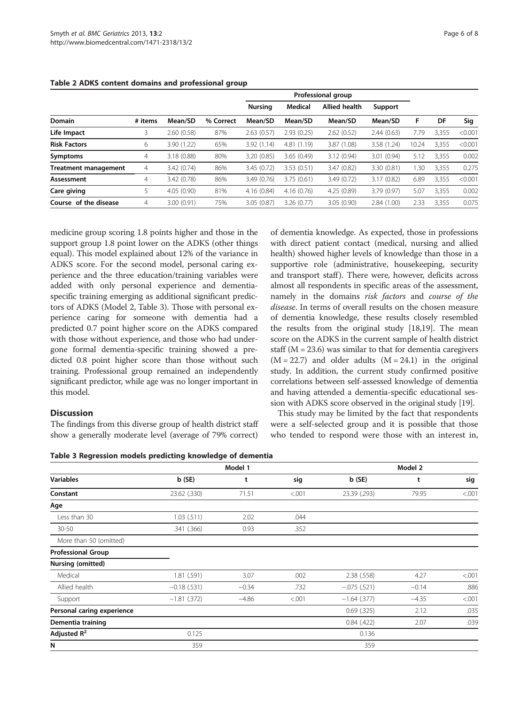|                             |         |             |           | Professional group |                |                      |             |       |       |         |
|-----------------------------|---------|-------------|-----------|--------------------|----------------|----------------------|-------------|-------|-------|---------|
|                             |         |             |           | <b>Nursing</b>     | <b>Medical</b> | <b>Allied health</b> | Support     |       |       |         |
| Domain                      | # items | Mean/SD     | % Correct | Mean/SD            | Mean/SD        | Mean/SD              | Mean/SD     | F     | DF    | Sig     |
| Life Impact                 | 3       | 2.60(0.58)  | 87%       | 2.63(0.57)         | 2.93(0.25)     | 2.62(0.52)           | 2.44(0.63)  | 7.79  | 3,355 | < 0.001 |
| <b>Risk Factors</b>         | 6       | 3.90 (1.22) | 65%       | 3.92(1.14)         | 4.81<br>(1.19) | 3.87 (1.08)          | 3.58 (1.24) | 10.24 | 3,355 | < 0.001 |
| Symptoms                    | 4       | 3.18 (0.88) | 80%       | 3.20(0.85)         | 3.65(0.49)     | 3.12(0.94)           | 3.01(0.94)  | 5.12  | 3,355 | 0.002   |
| <b>Treatment management</b> | 4       | 3.42(0.74)  | 86%       | 3.45(0.72)         | 3.53(0.51)     | 3.47(0.82)           | 3.30(0.81)  | .30   | 3,355 | 0.275   |
| Assessment                  | 4       | 3.42 (0.78) | 86%       | 3.49(0.76)         | 3.75(0.61)     | 3.49(0.72)           | 3.17(0.82)  | 6.89  | 3,355 | < 0.001 |
| Care giving                 | 5       | 4.05(0.90)  | 81%       | 4.16(0.84)         | 4.16(0.76)     | 4.25(0.89)           | 3.79 (0.97) | 5.07  | 3,355 | 0.002   |
| Course of the disease       | 4       | 3.00 (0.91) | 75%       | 3.05 (0.87)        | 3.26(0.77)     | 3.05(0.90)           | 2.84(1.00)  | 2.33  | 3,355 | 0.075   |

#### <span id="page-5-0"></span>Table 2 ADKS content domains and professional group

medicine group scoring 1.8 points higher and those in the support group 1.8 point lower on the ADKS (other things equal). This model explained about 12% of the variance in ADKS score. For the second model, personal caring experience and the three education/training variables were added with only personal experience and dementiaspecific training emerging as additional significant predictors of ADKS (Model 2, Table 3). Those with personal experience caring for someone with dementia had a predicted 0.7 point higher score on the ADKS compared with those without experience, and those who had undergone formal dementia-specific training showed a predicted 0.8 point higher score than those without such training. Professional group remained an independently significant predictor, while age was no longer important in this model.

## **Discussion**

The findings from this diverse group of health district staff show a generally moderate level (average of 79% correct)

of dementia knowledge. As expected, those in professions with direct patient contact (medical, nursing and allied health) showed higher levels of knowledge than those in a supportive role (administrative, housekeeping, security and transport staff). There were, however, deficits across almost all respondents in specific areas of the assessment, namely in the domains risk factors and course of the disease. In terms of overall results on the chosen measure of dementia knowledge, these results closely resembled the results from the original study [\[18,19](#page-7-0)]. The mean score on the ADKS in the current sample of health district staff  $(M = 23.6)$  was similar to that for dementia caregivers  $(M = 22.7)$  and older adults  $(M = 24.1)$  in the original study. In addition, the current study confirmed positive correlations between self-assessed knowledge of dementia and having attended a dementia-specific educational session with ADKS score observed in the original study [[19](#page-7-0)].

This study may be limited by the fact that respondents were a self-selected group and it is possible that those who tended to respond were those with an interest in,

#### Table 3 Regression models predicting knowledge of dementia

|                            |                | Model 1 |         | Model 2         |         |        |  |
|----------------------------|----------------|---------|---------|-----------------|---------|--------|--|
| <b>Variables</b>           | b(SE)          | t       | sig     | b(SE)           | t       | sig    |  |
| Constant                   | 23.62 (.330)   | 71.51   | < 0.001 | 23.39 (.293)    | 79.95   | < .001 |  |
| Age                        |                |         |         |                 |         |        |  |
| Less than 30               | 1.03(.511)     | 2.02    | .044    |                 |         |        |  |
| $30 - 50$                  | .341 (.366)    | 0.93    | .352    |                 |         |        |  |
| More than 50 (omitted)     |                |         |         |                 |         |        |  |
| <b>Professional Group</b>  |                |         |         |                 |         |        |  |
| Nursing (omitted)          |                |         |         |                 |         |        |  |
| Medical                    | $1.81$ (.591)  | 3.07    | .002    | 2.38 (.558)     | 4.27    | < .001 |  |
| Allied health              | $-0.18$ (.531) | $-0.34$ | .732    | $-.075(.521)$   | $-0.14$ | .886   |  |
| Support                    | $-1.81$ (.372) | $-4.86$ | < .001  | $-1.64$ (.377)  | $-4.35$ | < .001 |  |
| Personal caring experience |                |         |         | $0.69$ $(.325)$ | 2.12    | .035   |  |
| Dementia training          |                |         |         | $0.84$ $(.422)$ | 2.07    | .039   |  |
| Adjusted $R^2$             | 0.125          |         |         | 0.136           |         |        |  |
| N                          | 359            |         |         | 359             |         |        |  |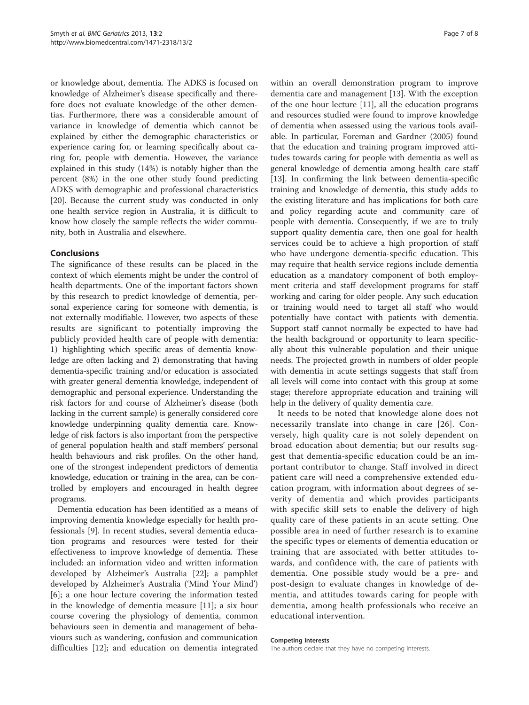or knowledge about, dementia. The ADKS is focused on knowledge of Alzheimer's disease specifically and therefore does not evaluate knowledge of the other dementias. Furthermore, there was a considerable amount of variance in knowledge of dementia which cannot be explained by either the demographic characteristics or experience caring for, or learning specifically about caring for, people with dementia. However, the variance explained in this study (14%) is notably higher than the percent (8%) in the one other study found predicting ADKS with demographic and professional characteristics [[20\]](#page-7-0). Because the current study was conducted in only one health service region in Australia, it is difficult to know how closely the sample reflects the wider community, both in Australia and elsewhere.

# Conclusions

The significance of these results can be placed in the context of which elements might be under the control of health departments. One of the important factors shown by this research to predict knowledge of dementia, personal experience caring for someone with dementia, is not externally modifiable. However, two aspects of these results are significant to potentially improving the publicly provided health care of people with dementia: 1) highlighting which specific areas of dementia knowledge are often lacking and 2) demonstrating that having dementia-specific training and/or education is associated with greater general dementia knowledge, independent of demographic and personal experience. Understanding the risk factors for and course of Alzheimer's disease (both lacking in the current sample) is generally considered core knowledge underpinning quality dementia care. Knowledge of risk factors is also important from the perspective of general population health and staff members' personal health behaviours and risk profiles. On the other hand, one of the strongest independent predictors of dementia knowledge, education or training in the area, can be controlled by employers and encouraged in health degree programs.

Dementia education has been identified as a means of improving dementia knowledge especially for health professionals [[9\]](#page-7-0). In recent studies, several dementia education programs and resources were tested for their effectiveness to improve knowledge of dementia. These included: an information video and written information developed by Alzheimer's Australia [\[22\]](#page-7-0); a pamphlet developed by Alzheimer's Australia ('Mind Your Mind') [[6\]](#page-7-0); a one hour lecture covering the information tested in the knowledge of dementia measure [\[11](#page-7-0)]; a six hour course covering the physiology of dementia, common behaviours seen in dementia and management of behaviours such as wandering, confusion and communication difficulties [[12\]](#page-7-0); and education on dementia integrated within an overall demonstration program to improve dementia care and management [[13](#page-7-0)]. With the exception of the one hour lecture [\[11](#page-7-0)], all the education programs and resources studied were found to improve knowledge of dementia when assessed using the various tools available. In particular, Foreman and Gardner (2005) found that the education and training program improved attitudes towards caring for people with dementia as well as general knowledge of dementia among health care staff [[13\]](#page-7-0). In confirming the link between dementia-specific training and knowledge of dementia, this study adds to the existing literature and has implications for both care and policy regarding acute and community care of people with dementia. Consequently, if we are to truly support quality dementia care, then one goal for health services could be to achieve a high proportion of staff who have undergone dementia-specific education. This may require that health service regions include dementia education as a mandatory component of both employment criteria and staff development programs for staff working and caring for older people. Any such education or training would need to target all staff who would potentially have contact with patients with dementia. Support staff cannot normally be expected to have had the health background or opportunity to learn specifically about this vulnerable population and their unique needs. The projected growth in numbers of older people with dementia in acute settings suggests that staff from all levels will come into contact with this group at some stage; therefore appropriate education and training will help in the delivery of quality dementia care.

It needs to be noted that knowledge alone does not necessarily translate into change in care [[26](#page-7-0)]. Conversely, high quality care is not solely dependent on broad education about dementia; but our results suggest that dementia-specific education could be an important contributor to change. Staff involved in direct patient care will need a comprehensive extended education program, with information about degrees of severity of dementia and which provides participants with specific skill sets to enable the delivery of high quality care of these patients in an acute setting. One possible area in need of further research is to examine the specific types or elements of dementia education or training that are associated with better attitudes towards, and confidence with, the care of patients with dementia. One possible study would be a pre- and post-design to evaluate changes in knowledge of dementia, and attitudes towards caring for people with dementia, among health professionals who receive an educational intervention.

#### Competing interests

The authors declare that they have no competing interests.